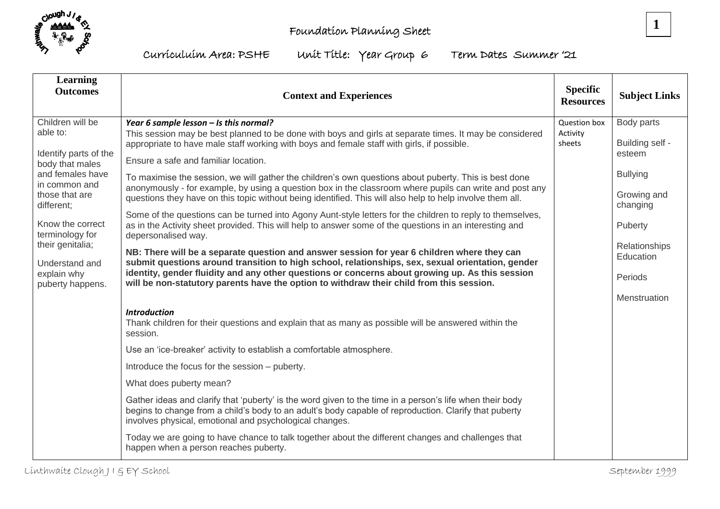



Curriculuim Area: PSHE Unit Title: Year Group 6 Term Dates Summer '21

| Learning<br><b>Outcomes</b>                                                                                                                   | <b>Context and Experiences</b>                                                                                                                                                                                                                                                                   | <b>Specific</b><br><b>Resources</b> | <b>Subject Links</b>      |
|-----------------------------------------------------------------------------------------------------------------------------------------------|--------------------------------------------------------------------------------------------------------------------------------------------------------------------------------------------------------------------------------------------------------------------------------------------------|-------------------------------------|---------------------------|
| Children will be<br>able to:<br>Identify parts of the<br>body that males<br>and females have<br>in common and<br>those that are<br>different; | Year 6 sample lesson - Is this normal?                                                                                                                                                                                                                                                           | Question box<br>Activity<br>sheets  | Body parts                |
|                                                                                                                                               | This session may be best planned to be done with boys and girls at separate times. It may be considered<br>appropriate to have male staff working with boys and female staff with girls, if possible.                                                                                            |                                     | Building self -<br>esteem |
|                                                                                                                                               | Ensure a safe and familiar location.                                                                                                                                                                                                                                                             |                                     |                           |
|                                                                                                                                               | To maximise the session, we will gather the children's own questions about puberty. This is best done                                                                                                                                                                                            |                                     | <b>Bullying</b>           |
|                                                                                                                                               | anonymously - for example, by using a question box in the classroom where pupils can write and post any<br>questions they have on this topic without being identified. This will also help to help involve them all.                                                                             |                                     | Growing and<br>changing   |
| Know the correct<br>terminology for                                                                                                           | Some of the questions can be turned into Agony Aunt-style letters for the children to reply to themselves,<br>as in the Activity sheet provided. This will help to answer some of the questions in an interesting and<br>depersonalised way.                                                     |                                     | Puberty                   |
| their genitalia;                                                                                                                              | NB: There will be a separate question and answer session for year 6 children where they can                                                                                                                                                                                                      |                                     | Relationships             |
| Understand and<br>explain why<br>puberty happens.                                                                                             | submit questions around transition to high school, relationships, sex, sexual orientation, gender<br>identity, gender fluidity and any other questions or concerns about growing up. As this session<br>will be non-statutory parents have the option to withdraw their child from this session. |                                     | Education<br>Periods      |
|                                                                                                                                               |                                                                                                                                                                                                                                                                                                  |                                     | Menstruation              |
|                                                                                                                                               | <b>Introduction</b><br>Thank children for their questions and explain that as many as possible will be answered within the<br>session.                                                                                                                                                           |                                     |                           |
|                                                                                                                                               | Use an 'ice-breaker' activity to establish a comfortable atmosphere.                                                                                                                                                                                                                             |                                     |                           |
|                                                                                                                                               | Introduce the focus for the session – puberty.                                                                                                                                                                                                                                                   |                                     |                           |
|                                                                                                                                               | What does puberty mean?                                                                                                                                                                                                                                                                          |                                     |                           |
|                                                                                                                                               | Gather ideas and clarify that 'puberty' is the word given to the time in a person's life when their body<br>begins to change from a child's body to an adult's body capable of reproduction. Clarify that puberty<br>involves physical, emotional and psychological changes.                     |                                     |                           |
|                                                                                                                                               | Today we are going to have chance to talk together about the different changes and challenges that<br>happen when a person reaches puberty.                                                                                                                                                      |                                     |                           |